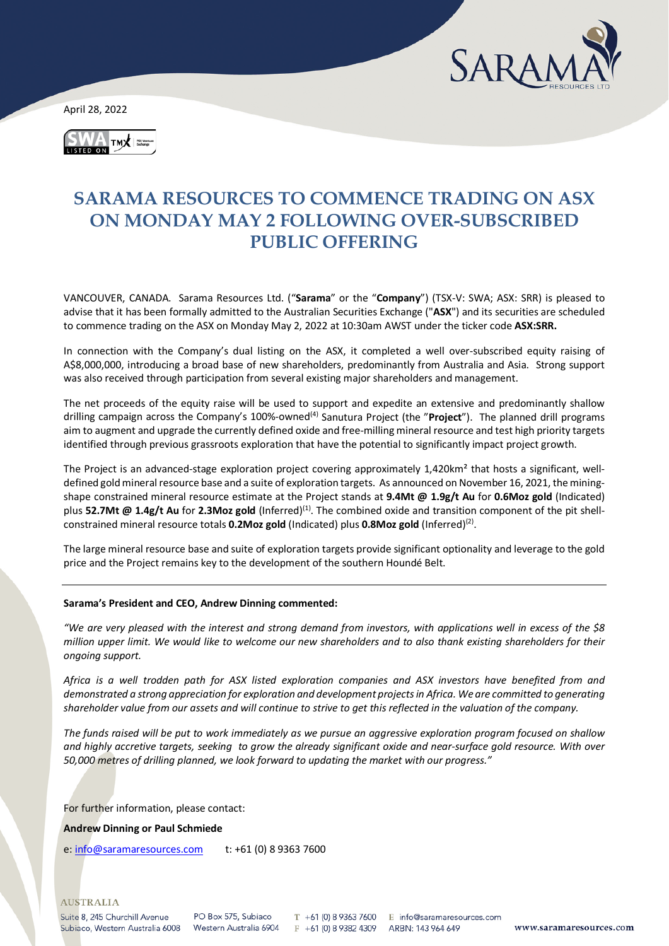

April 28, 2022



# **SARAMA RESOURCES TO COMMENCE TRADING ON ASX ON MONDAY MAY 2 FOLLOWING OVER-SUBSCRIBED PUBLIC OFFERING**

VANCOUVER, CANADA. Sarama Resources Ltd. ("**Sarama**" or the "**Company**") (TSX-V: SWA; ASX: SRR) is pleased to advise that it has been formally admitted to the Australian Securities Exchange ("**ASX**") and its securities are scheduled to commence trading on the ASX on Monday May 2, 2022 at 10:30am AWST under the ticker code **ASX:SRR.**

In connection with the Company's dual listing on the ASX, it completed a well over-subscribed equity raising of A\$8,000,000, introducing a broad base of new shareholders, predominantly from Australia and Asia. Strong support was also received through participation from several existing major shareholders and management.

The net proceeds of the equity raise will be used to support and expedite an extensive and predominantly shallow drilling campaign across the Company's 100%-owned<sup>(4)</sup> Sanutura Project (the "**Project**"). The planned drill programs aim to augment and upgrade the currently defined oxide and free-milling mineral resource and test high priority targets identified through previous grassroots exploration that have the potential to significantly impact project growth.

The Project is an advanced-stage exploration project covering approximately 1,420km² that hosts a significant, welldefined gold mineral resource base and a suite of exploration targets. As announced on November 16, 2021, the miningshape constrained mineral resource estimate at the Project stands at **9.4Mt @ 1.9g/t Au** for **0.6Moz gold** (Indicated) plus **52.7Mt @ 1.4g/t Au** for **2.3Moz gold** (Inferred)(1). The combined oxide and transition component of the pit shellconstrained mineral resource totals **0.2Moz gold** (Indicated) plus **0.8Moz gold** (Inferred)(2).

The large mineral resource base and suite of exploration targets provide significant optionality and leverage to the gold price and the Project remains key to the development of the southern Houndé Belt.

## **Sarama's President and CEO, Andrew Dinning commented:**

*"We are very pleased with the interest and strong demand from investors, with applications well in excess of the \$8 million upper limit. We would like to welcome our new shareholders and to also thank existing shareholders for their ongoing support.*

*Africa is a well trodden path for ASX listed exploration companies and ASX investors have benefited from and demonstrated a strong appreciation for exploration and development projects in Africa. We are committed to generating shareholder value from our assets and will continue to strive to get this reflected in the valuation of the company.*

*The funds raised will be put to work immediately as we pursue an aggressive exploration program focused on shallow and highly accretive targets, seeking to grow the already significant oxide and near-surface gold resource. With over 50,000 metres of drilling planned, we look forward to updating the market with our progress."*

For further information, please contact:

**Andrew Dinning or Paul Schmiede** 

e[: info@saramaresources.com](mailto:info@saramaresources.com) t: +61 (0) 8 9363 7600

**AUSTRALIA** 

Suite 8, 245 Churchill Avenue Subiaco, Western Australia 6008

PO Box 575, Subjaco Western Australia 6904

T +61 (0) 8 9363 7600 E info@saramaresources.com  $F + 61(0) 893824309$ 

ARBN: 143 964 649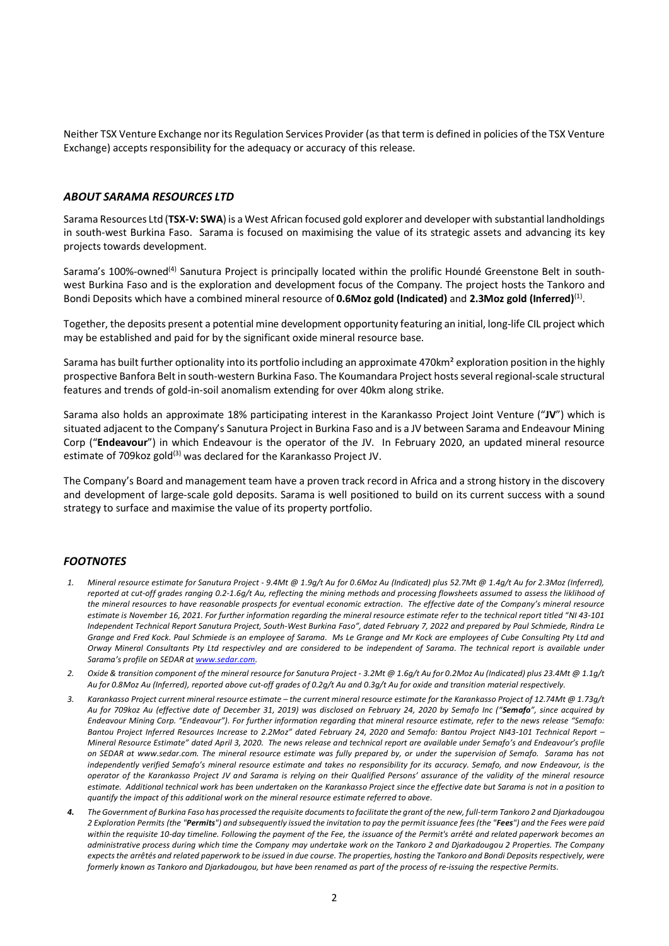Neither TSX Venture Exchange nor its Regulation Services Provider (as that term is defined in policies of the TSX Venture Exchange) accepts responsibility for the adequacy or accuracy of this release.

## *ABOUT SARAMA RESOURCES LTD*

Sarama Resources Ltd (**TSX-V: SWA**) is a West African focused gold explorer and developer with substantial landholdings in south-west Burkina Faso. Sarama is focused on maximising the value of its strategic assets and advancing its key projects towards development.

Sarama's 100%-owned<sup>(4)</sup> Sanutura Project is principally located within the prolific Houndé Greenstone Belt in southwest Burkina Faso and is the exploration and development focus of the Company. The project hosts the Tankoro and Bondi Deposits which have a combined mineral resource of **0.6Moz gold (Indicated)** and **2.3Moz gold (Inferred)**(1).

Together, the deposits present a potential mine development opportunity featuring an initial, long-life CIL project which may be established and paid for by the significant oxide mineral resource base.

Sarama has built further optionality into its portfolio including an approximate 470km² exploration position in the highly prospective Banfora Belt in south-western Burkina Faso. The Koumandara Project hosts several regional-scale structural features and trends of gold-in-soil anomalism extending for over 40km along strike.

Sarama also holds an approximate 18% participating interest in the Karankasso Project Joint Venture ("**JV**") which is situated adjacent to the Company's Sanutura Project in Burkina Faso and is a JV between Sarama and Endeavour Mining Corp ("**Endeavour**") in which Endeavour is the operator of the JV. In February 2020, an updated mineral resource estimate of 709 koz gold<sup>(3)</sup> was declared for the Karankasso Project JV.

The Company's Board and management team have a proven track record in Africa and a strong history in the discovery and development of large-scale gold deposits. Sarama is well positioned to build on its current success with a sound strategy to surface and maximise the value of its property portfolio.

#### *FOOTNOTES*

- *1. Mineral resource estimate for Sanutura Project - 9.4Mt @ 1.9g/t Au for 0.6Moz Au (Indicated) plus 52.7Mt @ 1.4g/t Au for 2.3Moz (Inferred), reported at cut-off grades ranging 0.2-1.6g/t Au, reflecting the mining methods and processing flowsheets assumed to assess the liklihood of the mineral resources to have reasonable prospects for eventual economic extraction. The effective date of the Company's mineral resource estimate is November 16, 2021. For further information regarding the mineral resource estimate refer to the technical report titled "NI 43-101 Independent Technical Report Sanutura Project, South-West Burkina Faso", dated February 7, 2022 and prepared by Paul Schmiede, Rindra Le Grange and Fred Kock. Paul Schmiede is an employee of Sarama. Ms Le Grange and Mr Kock are employees of Cube Consulting Pty Ltd and Orway Mineral Consultants Pty Ltd respectivley and are considered to be independent of Sarama. The technical report is available under Sarama's profile on SEDAR a[t www.sedar.com.](http://www.sedar.com/)*
- *2. Oxide & transition component of the mineral resource for Sanutura Project - 3.2Mt @ 1.6g/t Au for 0.2Moz Au (Indicated) plus 23.4Mt @ 1.1g/t Au for 0.8Moz Au (Inferred), reported above cut-off grades of 0.2g/t Au and 0.3g/t Au for oxide and transition material respectively.*
- *3. Karankasso Project current mineral resource estimate – the current mineral resource estimate for the Karankasso Project of 12.74Mt @ 1.73g/t Au for 709koz Au (effective date of December 31, 2019) was disclosed on February 24, 2020 by Semafo Inc ("Semafo", since acquired by Endeavour Mining Corp. "Endeavour"). For further information regarding that mineral resource estimate, refer to the news release "Semafo: Bantou Project Inferred Resources Increase to 2.2Moz" dated February 24, 2020 and Semafo: Bantou Project NI43-101 Technical Report – Mineral Resource Estimate" dated April 3, 2020. The news release and technical report are available under Semafo's and Endeavour's profile on SEDAR at [www.sedar.com.](http://www.sedar.com/) The mineral resource estimate was fully prepared by, or under the supervision of Semafo. Sarama has not independently verified Semafo's mineral resource estimate and takes no responsibility for its accuracy. Semafo, and now Endeavour, is the operator of the Karankasso Project JV and Sarama is relying on their Qualified Persons' assurance of the validity of the mineral resource estimate. Additional technical work has been undertaken on the Karankasso Project since the effective date but Sarama is not in a position to quantify the impact of this additional work on the mineral resource estimate referred to above.*
- *4. The Government of Burkina Faso has processed the requisite documents to facilitate the grant of the new, full-term Tankoro 2 and Djarkadougou 2 Exploration Permits (the "Permits") and subsequently issued the invitation to pay the permit issuance fees (the "Fees") and the Fees were paid within the requisite 10-day timeline. Following the payment of the Fee, the issuance of the Permit's arrêté and related paperwork becomes an administrative process during which time the Company may undertake work on the Tankoro 2 and Djarkadougou 2 Properties. The Company expects the arrêtés and related paperwork to be issued in due course. The properties, hosting the Tankoro and Bondi Deposits respectively, were formerly known as Tankoro and Djarkadougou, but have been renamed as part of the process of re-issuing the respective Permits.*